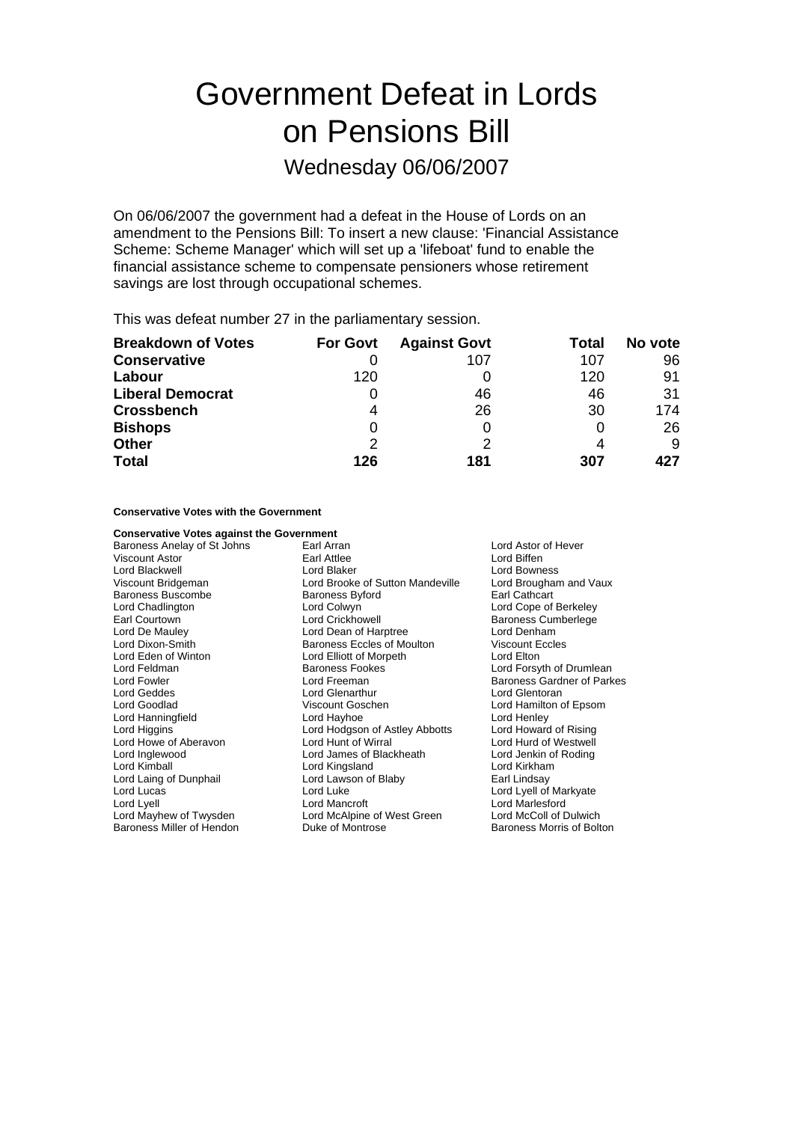# Government Defeat in Lords on Pensions Bill

Wednesday 06/06/2007

On 06/06/2007 the government had a defeat in the House of Lords on an amendment to the Pensions Bill: To insert a new clause: 'Financial Assistance Scheme: Scheme Manager' which will set up a 'lifeboat' fund to enable the financial assistance scheme to compensate pensioners whose retirement savings are lost through occupational schemes.

This was defeat number 27 in the parliamentary session.

| <b>Breakdown of Votes</b> | <b>For Govt</b> | <b>Against Govt</b> | Total | No vote |
|---------------------------|-----------------|---------------------|-------|---------|
| <b>Conservative</b>       |                 | 107                 | 107   | 96      |
| Labour                    | 120             |                     | 120   | 91      |
| <b>Liberal Democrat</b>   | O               | 46                  | 46    | 31      |
| <b>Crossbench</b>         | 4               | 26                  | 30    | 174     |
| <b>Bishops</b>            | 0               |                     |       | 26      |
| <b>Other</b>              | 2               |                     |       | 9       |
| <b>Total</b>              | 126             | 181                 | 307   | 427     |

**Conservative Votes with the Government**

| <b>Conservative Votes against the Government</b> |                                   |                                   |  |
|--------------------------------------------------|-----------------------------------|-----------------------------------|--|
| Baroness Anelay of St Johns                      | Earl Arran<br>Lord Astor of Hever |                                   |  |
| Viscount Astor                                   | Earl Attlee                       | Lord Biffen                       |  |
| Lord Blackwell                                   | Lord Blaker                       | Lord Bowness                      |  |
| Viscount Bridgeman                               | Lord Brooke of Sutton Mandeville  | Lord Brougham and Vaux            |  |
| Baroness Buscombe                                | <b>Baroness Byford</b>            | Earl Cathcart                     |  |
| Lord Chadlington                                 | Lord Colwyn                       | Lord Cope of Berkeley             |  |
| Earl Courtown                                    | Lord Crickhowell                  | <b>Baroness Cumberlege</b>        |  |
| Lord De Mauley                                   | Lord Dean of Harptree             | Lord Denham                       |  |
| Lord Dixon-Smith                                 | <b>Baroness Eccles of Moulton</b> | <b>Viscount Eccles</b>            |  |
| Lord Eden of Winton                              | Lord Elliott of Morpeth           | Lord Elton                        |  |
| Lord Feldman                                     | <b>Baroness Fookes</b>            | Lord Forsyth of Drumlean          |  |
| Lord Fowler                                      | Lord Freeman                      | <b>Baroness Gardner of Parkes</b> |  |
| Lord Geddes                                      | Lord Glenarthur                   | Lord Glentoran                    |  |
| Lord Goodlad                                     | Viscount Goschen                  | Lord Hamilton of Epsom            |  |
| Lord Hanningfield                                | Lord Hayhoe                       | Lord Henley                       |  |
| Lord Higgins                                     | Lord Hodgson of Astley Abbotts    | Lord Howard of Rising             |  |
| Lord Howe of Aberavon                            | Lord Hunt of Wirral               | Lord Hurd of Westwell             |  |
| Lord Inglewood                                   | Lord James of Blackheath          | Lord Jenkin of Roding             |  |
| Lord Kimball                                     | Lord Kingsland                    | Lord Kirkham                      |  |
| Lord Laing of Dunphail                           | Lord Lawson of Blaby              | Earl Lindsay                      |  |
| Lord Lucas                                       | Lord Luke                         | Lord Lyell of Markyate            |  |
| Lord Lyell                                       | Lord Mancroft                     | Lord Marlesford                   |  |
| Lord Mayhew of Twysden                           | Lord McAlpine of West Green       | Lord McColl of Dulwich            |  |
| Baroness Miller of Hendon                        | Duke of Montrose                  | Baroness Morris of Bolton         |  |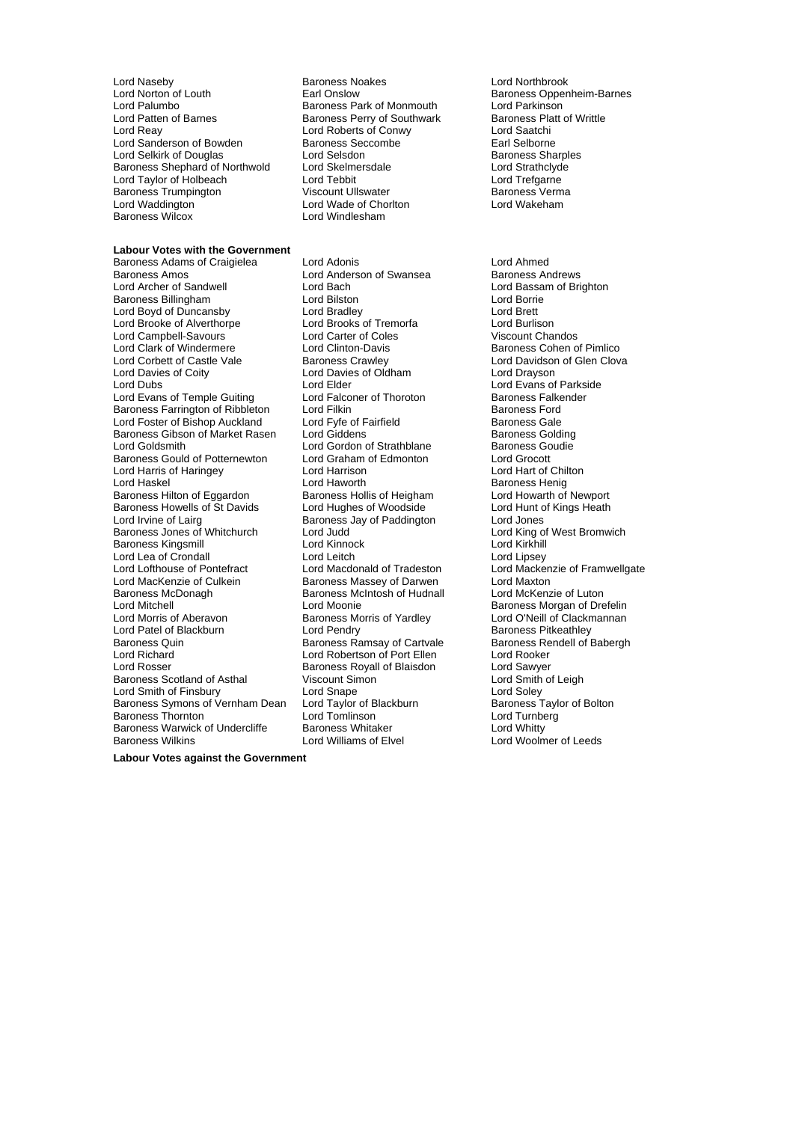Lord Norton of Louth Earl Onslow Baroness Oppenheim-Barnes Lord Palumbo<br>
Lord Patten of Barnes<br>
Baroness Perry of Southwark Baroness Platt of Writtle Lord Patten of Barnes **Baroness Perry of Southwark** Baroness Platt Baroness Platt of New Yord Roberts of Conwy Lord Sanderson of Bowden Baroness Seccombe The Earl Selborne<br>Lord Selkirk of Douglas Baroness Sharples Lord Selsdon Baroness Sharples Lord Selkirk of Douglas Lord Selsdon Baroness Sharples<br>
Baroness Shaphard of Northwold Lord Skelmersdale Lord Strathclyde Baroness Shephard of Northwold Lord Skelmersdale Lord Taylor of Holbeach Lord Tebbit Lord Text Lord Trefgarne Lord Taylor of Holbeach **Lord Tebbit** Lord Tebbit Lord Trefgarne<br>
Baroness Trumpington Click Corporation Ullswater Click Corporation Baroness Verma Baroness Trumpington **Baroness Viscount Ullswater** Marchael Baroness Verman Viscount Ullswater Chroness Verman Lord Wakeham Baroness Wilcox

#### **Labour Votes with the Government**

Lord Archer of Sandwell Lord Bach Lord Bassam of Brighton Baroness Billingham Lord Bilston Lord Borrie Lord Boyd of Duncansby **Lord Bradley** Lord Bradley **Lord Brett** Lord Brett Lord Brooks of Tremorfa **Lord Burlison** Lord Brooke of Alverthorpe Lord Campbell-Savours Lord Carter of Coles Viscount Chandos Lord Clark of Windermere Lord Clinton-Davis **Baroness Cohen of Pimlico**<br>
Lord Corbett of Castle Vale Baroness Crawley **Baroness Crawley** Lord Davidson of Glen Clov Lord Davies of Coity **Lord Davies of Oldham**<br>
Lord Dubs<br>
Lord Elder Lord Evans of Temple Guiting Lord Falconer of Thoroton Baroness Falkenders Fallenders Fallenders Fallenders Ford<br>Baroness Farrington of Ribbleton Lord Filkin Baroness Farrington of Ribbleton<br>
Lord Foster of Bishop Auckland 
Lord Fyfe of Fairfield Lord Foster of Bishop Auckland Lord Fyfe of Fairfield **Baroness Gale**<br>Baroness Gibson of Market Rasen Lord Giddens **Baroness Golden** Baroness Golding Baroness Gibson of Market Rasen Lord Giddens **Baroness Golding**<br>Lord Goldsmith Lord Gordon of Strathblane Baroness Goudie Baroness Gould of Potternewton Lord Graham of Edmonton Lord Grocott Lord Harris of Haringey Lord Harrison Lord Hart of Chilton Baroness Hilton of Eggardon Baroness Howells of St Davids Lord Hughes of Woodside Lord Hunt of Kings Heath<br>
Lord Irvine of Lairg **Baroness Langer Action** Lord Jones Baroness Jones of Whitchurch Lord Judd<br>
Lord King Cord King Cord King Cord King Cord King Cord King Cord King Cord King Cord King Cord King Cord King Baroness Kingsmill Lord Lea of Crondall **Lord Lord Leitch** Lord Lord Lord Lipsey<br>
Lord Lord Lord Macken Lord Macdonald of Tradeston Lord Macken Lord Lofthouse of Pontefract Lord Macdonald of Tradeston Lord Mackenzie of Framwellgate<br>
Lord MacKenzie of Culkein Baroness Massey of Darwen Lord Maxton Baroness McDonagh Baroness McIntosh of Hudnall<br>
Lord Mitchell<br>
Lord Moonie Lord Mitchell **Lord Moonie** Cord Moonie **Baroness Morgan of Drefelin**<br>
Lord Morris of Aberavon **Baroness Morris of Yardlev** Lord O'Neill of Clackmannan Lord Morris of Aberavon **Baroness Morris of Yardley** Lord O'Neill of Clackmannan<br>
Lord Patel of Blackburn Lord Pendry **Baroness Pitkeathley** Baroness Quin Baroness Ramsay of Cartvale Baroness Rendell Baroness Rendell Saroness Rendell State Baroness Re<br>
Baroness Rendell of Baroness Rendell of Baroness Rendell of Baroness Rendell State Baroness Rendell State Bar<br> Lord Richard Lord Robertson of Port Ellen Lord Rooker Baroness Scotland of Asthal Viscount Simon Correspondent Simon Lord Smith Lord Soley<br>
Lord Smape Correspondent Lord Soley Lord Smith of Finsbury Lord Snape Lord Snape Lord Soley<br>
Baroness Symons of Vernham Dean Lord Taylor of Blackburn Baroness Taylor of Bolton Baroness Symons of Vernham Dean Baroness Thornton Lord Tomlinson Lord Turnberg Baroness Warwick of Undercliffe Baroness Whitaker **Baroness Whitter Construct Construct** Lord Whitty<br>Baroness Wilkins **Construct Construct Construct Construct** Lord Woolm

Lord Naseby **Baroness Noakes** Lord Northbrook<br>
Lord Norton of Louth **Baroness Lord Northbrook**<br>
Earl Onslow Lord Roberts of Conwy<br>
Baroness Seccombe<br>
Earl Selborne Lord Wade of Chorlton<br>Lord Windlesham

Baroness Adams of Craigielea Lord Adonis Lord Ahmed **Lord Anderson of Swansea** Lord Elder<br>
Lord Ealconer of Thoroton<br>
Baroness Falkender Lord Gordon of Strathblane<br>Lord Graham of Edmonton Lord Haworth **Baroness Henig**<br>
Baroness Hollis of Heigham **Baroness Hollis Accepted Howarth of Newport** Baroness Jay of Paddington Lord Jones<br>
Lord Judd Lord King of West Bromwich Baroness Massey of Darwen<br>
Baroness McIntosh of Hudnall
Lord McKenzie of Luton Express Royall of Blaisdon<br>
Lord Sawyer<br>
Viscount Simon<br>
Lord Smith of Leigh

Lord Davidson of Glen Clova<br>Lord Drayson **Baroness Pitkeathley<br>Baroness Rendell of Babergh** Lord Woolmer of Leeds

**Labour Votes against the Government**